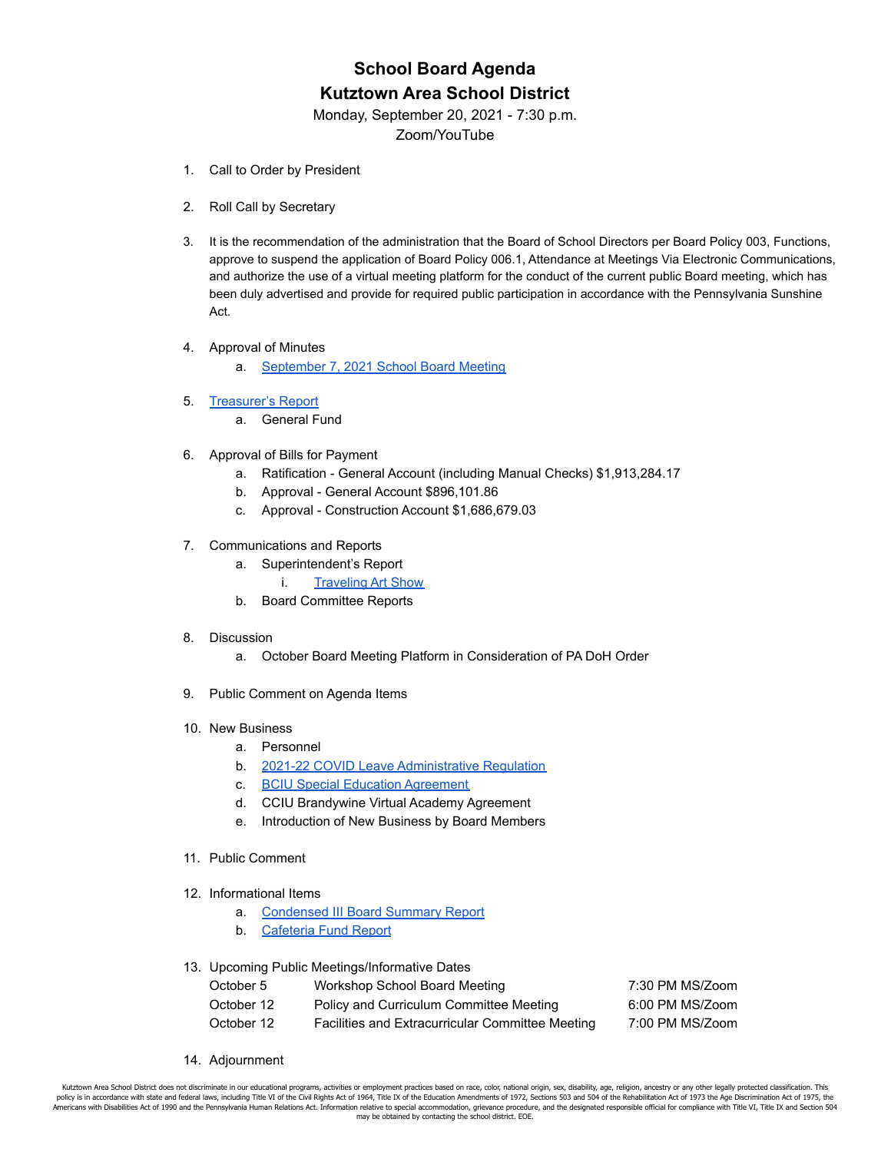# **School Board Agenda Kutztown Area School District**

Monday, September 20, 2021 - 7:30 p.m.

Zoom/YouTube

- 1. Call to Order by President
- 2. Roll Call by Secretary
- 3. It is the recommendation of the administration that the Board of School Directors per Board Policy 003, Functions, approve to suspend the application of Board Policy 006.1, Attendance at Meetings Via Electronic Communications, and authorize the use of a virtual meeting platform for the conduct of the current public Board meeting, which has been duly advertised and provide for required public participation in accordance with the Pennsylvania Sunshine Act.
- 4. Approval of Minutes
	- a. [September 7, 2021 School Board Meeting](https://drive.google.com/file/d/1WnOLZLV6tdzeY6fxU5wlHfh4gJQ3w6uB/view?usp=sharing)
- 5. [Treasurer's Report](https://drive.google.com/file/d/1ceOInADFsh7fIN5biImmB7JURcLebLA1/view?usp=sharing)
	- a. General Fund
- 6. Approval of Bills for Payment
	- a. Ratification General Account (including Manual Checks) \$1,913,284.17
	- b. Approval General Account \$896,101.86
	- c. Approval Construction Account \$1,686,679.03
- 7. Communications and Reports
	- a. Superintendent's Report
		- i. [Traveling Art Show](https://drive.google.com/file/d/1iX63Drba3UvJ6ctv7Lu5L2-00GQkfigj/view?usp=sharing)
	- b. Board Committee Reports

#### 8. Discussion

- a. October Board Meeting Platform in Consideration of PA DoH Order
- 9. Public Comment on Agenda Items
- 10. New Business
	- a. Personnel
	- b. [2021-22 COVID Leave Administrative Regulation](https://drive.google.com/file/d/1X1Eu83XiBoC2T0UrSi3KXsBufjvDF1Ij/view)
	- c. [BCIU Special Education Agreement](https://drive.google.com/file/d/1ikZ_dwqGFTVKL_JodOqbHtpjUJX1W2WS/view?usp=sharing)
	- d. CCIU Brandywine Virtual Academy Agreement
	- e. Introduction of New Business by Board Members
- 11. Public Comment
- 12. Informational Items
	- a. [Condensed III Board Summary Report](https://drive.google.com/file/d/12sYPlG5it8Y3I1Ed67aObMrCT00TzNe0/view?usp=sharing)
	- b. [Cafeteria Fund Report](https://drive.google.com/file/d/1Vs2w0jG_tyWqRA_e3mUAMjarKZ2T01VI/view?usp=sharing)
- 13. Upcoming Public Meetings/Informative Dates

| October 5  | Workshop School Board Meeting                    | 7:30 PM MS/Zoom |
|------------|--------------------------------------------------|-----------------|
| October 12 | Policy and Curriculum Committee Meeting          | 6:00 PM MS/Zoom |
| October 12 | Facilities and Extracurricular Committee Meeting | 7:00 PM MS/Zoom |

14. Adjournment

Kutztown Area School District does not discriminate in our educational programs, activities or employment practices based on race, color, national origin, sex, disability, age, religion, ancestry or any other legally prote policy is in accordance with state and federal laws, including Title VI of the Civil Rights Act of 1964, Title IX of the Education Amendments of 1972, Sections 503 and 504 of the Rehabilitation Act of 1973 the Age Discrimi Facebook and the Pennsylvania Human Relations Act. Information relative to special accommodation, grievance procedure, and the designated responsible official for compliance with Title VI, Title IX and Section 504 may be obtained by contacting the school district. EOE.